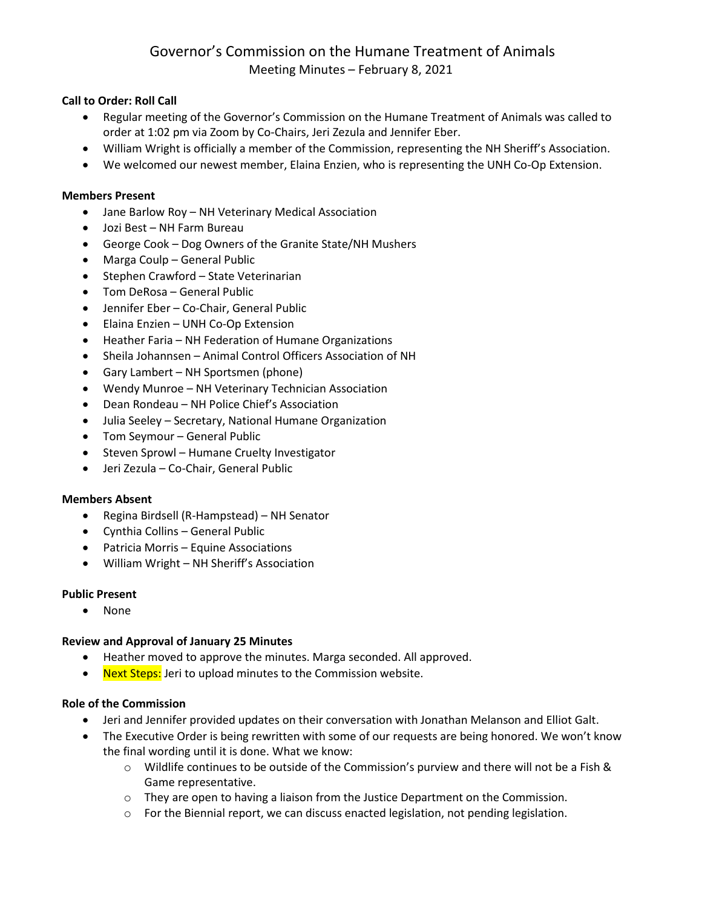# Governor's Commission on the Humane Treatment of Animals Meeting Minutes – February 8, 2021

# **Call to Order: Roll Call**

- Regular meeting of the Governor's Commission on the Humane Treatment of Animals was called to order at 1:02 pm via Zoom by Co-Chairs, Jeri Zezula and Jennifer Eber.
- William Wright is officially a member of the Commission, representing the NH Sheriff's Association.
- We welcomed our newest member, Elaina Enzien, who is representing the UNH Co-Op Extension.

#### **Members Present**

- Jane Barlow Roy NH Veterinary Medical Association
- Jozi Best NH Farm Bureau
- George Cook Dog Owners of the Granite State/NH Mushers
- Marga Coulp General Public
- Stephen Crawford State Veterinarian
- Tom DeRosa General Public
- Jennifer Eber Co-Chair, General Public
- Elaina Enzien UNH Co-Op Extension
- Heather Faria NH Federation of Humane Organizations
- Sheila Johannsen Animal Control Officers Association of NH
- Gary Lambert NH Sportsmen (phone)
- Wendy Munroe NH Veterinary Technician Association
- Dean Rondeau NH Police Chief's Association
- Julia Seeley Secretary, National Humane Organization
- Tom Seymour General Public
- Steven Sprowl Humane Cruelty Investigator
- Jeri Zezula Co-Chair, General Public

## **Members Absent**

- Regina Birdsell (R-Hampstead) NH Senator
- Cynthia Collins General Public
- Patricia Morris Equine Associations
- William Wright NH Sheriff's Association

## **Public Present**

• None

## **Review and Approval of January 25 Minutes**

- Heather moved to approve the minutes. Marga seconded. All approved.
- Next Steps: Jeri to upload minutes to the Commission website.

#### **Role of the Commission**

- Jeri and Jennifer provided updates on their conversation with Jonathan Melanson and Elliot Galt.
- The Executive Order is being rewritten with some of our requests are being honored. We won't know the final wording until it is done. What we know:
	- $\circ$  Wildlife continues to be outside of the Commission's purview and there will not be a Fish & Game representative.
	- $\circ$  They are open to having a liaison from the Justice Department on the Commission.
	- $\circ$  For the Biennial report, we can discuss enacted legislation, not pending legislation.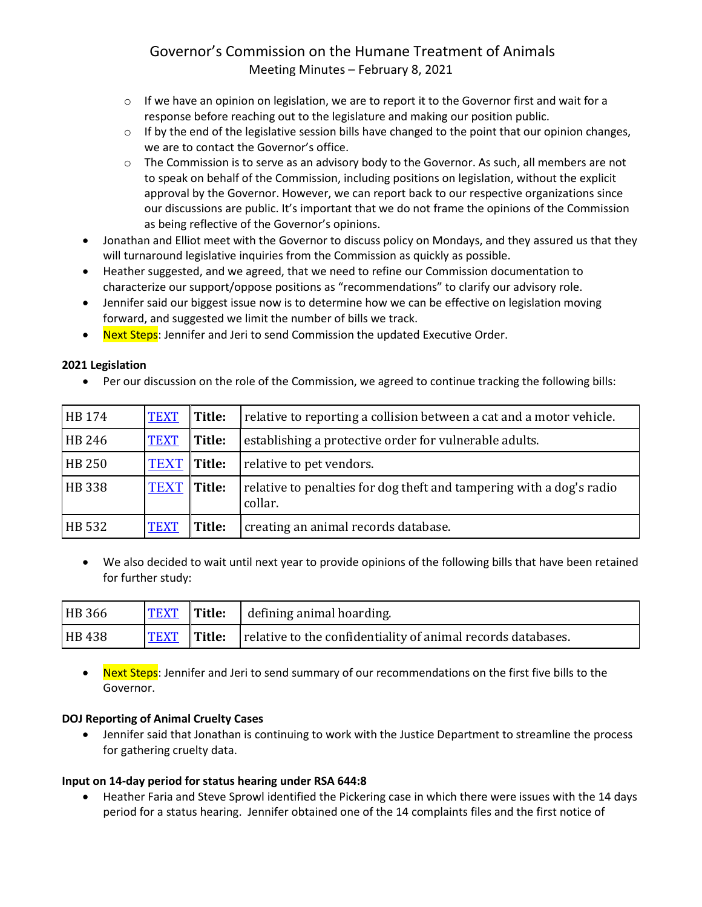# Governor's Commission on the Humane Treatment of Animals Meeting Minutes – February 8, 2021

- $\circ$  If we have an opinion on legislation, we are to report it to the Governor first and wait for a response before reaching out to the legislature and making our position public.
- $\circ$  If by the end of the legislative session bills have changed to the point that our opinion changes, we are to contact the Governor's office.
- $\circ$  The Commission is to serve as an advisory body to the Governor. As such, all members are not to speak on behalf of the Commission, including positions on legislation, without the explicit approval by the Governor. However, we can report back to our respective organizations since our discussions are public. It's important that we do not frame the opinions of the Commission as being reflective of the Governor's opinions.
- Jonathan and Elliot meet with the Governor to discuss policy on Mondays, and they assured us that they will turnaround legislative inquiries from the Commission as quickly as possible.
- Heather suggested, and we agreed, that we need to refine our Commission documentation to characterize our support/oppose positions as "recommendations" to clarify our advisory role.
- Jennifer said our biggest issue now is to determine how we can be effective on legislation moving forward, and suggested we limit the number of bills we track.
- Next Steps: Jennifer and Jeri to send Commission the updated Executive Order.

## **2021 Legislation**

• Per our discussion on the role of the Commission, we agreed to continue tracking the following bills:

| <b>HB</b> 174 | <b>TEXT</b>        | Title: | relative to reporting a collision between a cat and a motor vehicle.            |
|---------------|--------------------|--------|---------------------------------------------------------------------------------|
| HB 246        | <b>TEXT</b>        | Title: | establishing a protective order for vulnerable adults.                          |
| <b>HB 250</b> | <b>TEXT</b> Title: |        | relative to pet vendors.                                                        |
| <b>HB</b> 338 | <b>TEXT</b>        | Title: | relative to penalties for dog theft and tampering with a dog's radio<br>collar. |
| <b>HB</b> 532 | <b>TEXT</b>        | Title: | creating an animal records database.                                            |

• We also decided to wait until next year to provide opinions of the following bills that have been retained for further study:

| <b>HB</b> 366 |                    | <b>TEXT</b> Title: defining animal hoarding.                 |
|---------------|--------------------|--------------------------------------------------------------|
| <b>HB</b> 438 | <b>TEXT</b> Title: | relative to the confidentiality of animal records databases. |

• Next Steps: Jennifer and Jeri to send summary of our recommendations on the first five bills to the Governor.

#### **DOJ Reporting of Animal Cruelty Cases**

• Jennifer said that Jonathan is continuing to work with the Justice Department to streamline the process for gathering cruelty data.

## **Input on 14-day period for status hearing under RSA 644:8**

• Heather Faria and Steve Sprowl identified the Pickering case in which there were issues with the 14 days period for a status hearing. Jennifer obtained one of the 14 complaints files and the first notice of